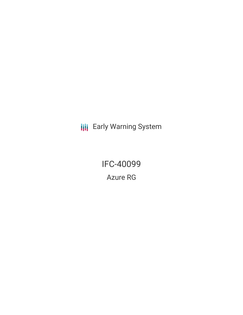**III** Early Warning System

IFC-40099 Azure RG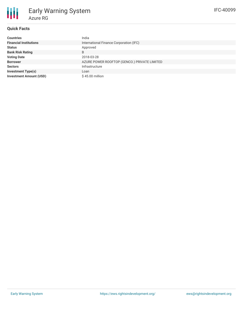

# **Quick Facts**

| <b>Countries</b>               | India                                        |
|--------------------------------|----------------------------------------------|
| <b>Financial Institutions</b>  | International Finance Corporation (IFC)      |
| <b>Status</b>                  | Approved                                     |
| <b>Bank Risk Rating</b>        | B                                            |
| <b>Voting Date</b>             | 2018-03-28                                   |
| <b>Borrower</b>                | AZURE POWER ROOFTOP (GENCO.) PRIVATE LIMITED |
| <b>Sectors</b>                 | Infrastructure                               |
| <b>Investment Type(s)</b>      | Loan                                         |
| <b>Investment Amount (USD)</b> | \$45.00 million                              |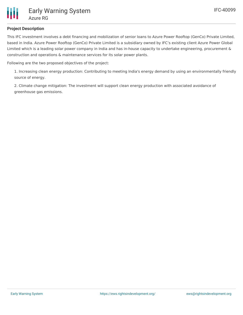

## **Project Description**

This IFC investment involves a debt financing and mobilization of senior loans to Azure Power Rooftop (GenCo) Private Limited, based in India. Azure Power Rooftop (GenCo) Private Limited is a subsidiary owned by IFC's existing client Azure Power Global Limited which is a leading solar power company in India and has in-house capacity to undertake engineering, procurement & construction and operations & maintenance services for its solar power plants.

Following are the two proposed objectives of the project:

1. Increasing clean energy production: Contributing to meeting India's energy demand by using an environmentally friendly source of energy.

2. Climate change mitigation: The investment will support clean energy production with associated avoidance of greenhouse gas emissions.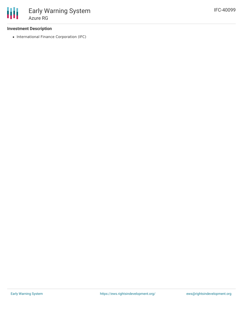### **Investment Description**

• International Finance Corporation (IFC)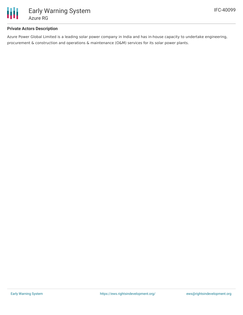

## **Private Actors Description**

Azure Power Global Limited is a leading solar power company in India and has in-house capacity to undertake engineering, procurement & construction and operations & maintenance (O&M) services for its solar power plants.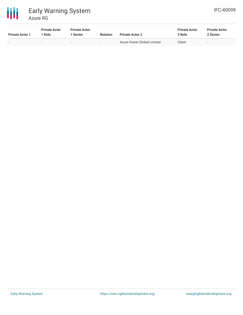



| <b>Private Actor 1</b> | <b>Private Actor</b><br>1 Role | <b>Private Actor</b><br>l Sector | <b>Relation</b>          | <b>Private Actor 2</b>     | <b>Private Actor</b><br>2 Role | <b>Private Actor</b><br>2 Sector |
|------------------------|--------------------------------|----------------------------------|--------------------------|----------------------------|--------------------------------|----------------------------------|
| -                      | $\overline{\phantom{a}}$       | $\overline{\phantom{a}}$         | $\overline{\phantom{0}}$ | Azure Power Global Limited | Client                         | $\overline{\phantom{a}}$         |